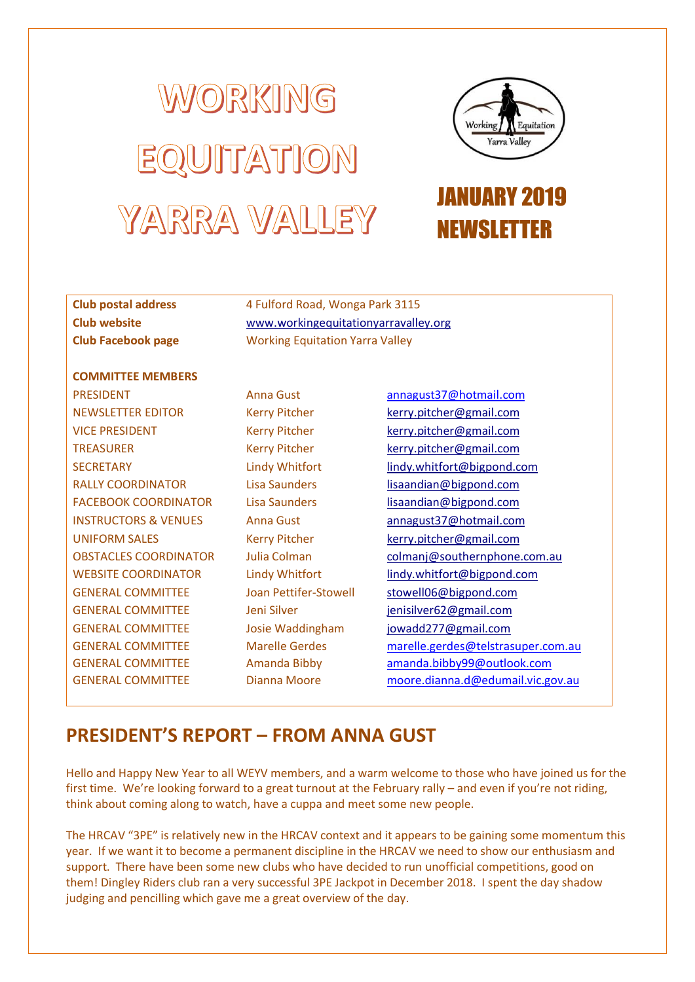# WORKING EQUITATION YARRA VALLEY



## JANUARY 2019 NEWSLETTER

## **Club postal address** 4 Fulford Road, Wonga Park 3115

**Club website** [www.workingequitationyarravalley.org](http://www.workingequitationyarravalley.org/) **Club Facebook page** Working Equitation Yarra Valley

#### **COMMITTEE MEMBERS**

PRESIDENT Anna Gust [annagust37@hotmail.com](mailto:annagust37@hotmail.com) NEWSLETTER EDITOR Kerry Pitcher [kerry.pitcher@gmail.com](mailto:kerry.pitcher@gmail.com) VICE PRESIDENT Kerry Pitcher [kerry.pitcher@gmail.com](mailto:kerry.pitcher@gmail.com) TREASURER Kerry Pitcher [kerry.pitcher@gmail.com](mailto:kerry.pitcher@gmail.com) RALLY COORDINATOR Lisa Saunders [lisaandian@bigpond.com](mailto:lisaandian@bigpond.com) FACEBOOK COORDINATOR Lisa Saunders [lisaandian@bigpond.com](mailto:lisaandian@bigpond.com) UNIFORM SALES Kerry Pitcher [kerry.pitcher@gmail.com](mailto:kerry.pitcher@gmail.com) GENERAL COMMITTEE Joan Pettifer-Stowell [stowell06@bigpond.com](mailto:stowell06@bigpond.com) GENERAL COMMITTEE Jeni Silver [jenisilver62@gmail.com](mailto:jenisilver62@gmail.com) GENERAL COMMITTEE Josie Waddingham [jowadd277@gmail.com](mailto:jowadd277@gmail.com) GENERAL COMMITTEE GENERAL COMMITTEE GENERAL COMMITTEE

Marelle Gerdes Amanda Bibby Dianna Moore

SECRETARY Lindy Whitfort [lindy.whitfort@bigpond.com](mailto:lindy.whitfort@bigpond.com) INSTRUCTORS & VENUES Anna Gust [annagust37@hotmail.com](mailto:annagust37@hotmail.com) OBSTACLES COORDINATOR Julia Colman colmani@southernphone.com.au WEBSITE COORDINATOR Lindy Whitfort [lindy.whitfort@bigpond.com](mailto:lindy.whitfort@bigpond.com) [marelle.gerdes@telstrasuper.com.au](mailto:marelle.gerdes@telstrasuper.com.au) [amanda.bibby99@outlook.com](mailto:amanda.bibby99@outlook.com) [moore.dianna.d@edumail.vic.gov.au](mailto:moore.dianna.d@edumail.vic.gov.au)

## **PRESIDENT'S REPORT – FROM ANNA GUST**

Hello and Happy New Year to all WEYV members, and a warm welcome to those who have joined us for the first time. We're looking forward to a great turnout at the February rally – and even if you're not riding, think about coming along to watch, have a cuppa and meet some new people.

The HRCAV "3PE" is relatively new in the HRCAV context and it appears to be gaining some momentum this year. If we want it to become a permanent discipline in the HRCAV we need to show our enthusiasm and support. There have been some new clubs who have decided to run unofficial competitions, good on them! Dingley Riders club ran a very successful 3PE Jackpot in December 2018. I spent the day shadow judging and pencilling which gave me a great overview of the day.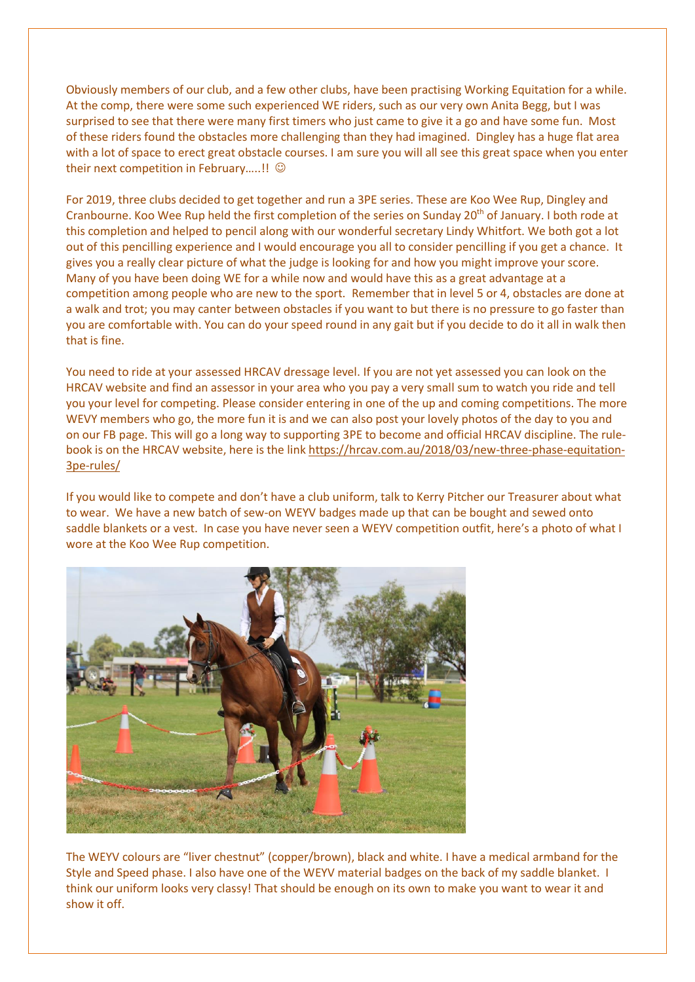Obviously members of our club, and a few other clubs, have been practising Working Equitation for a while. At the comp, there were some such experienced WE riders, such as our very own Anita Begg, but I was surprised to see that there were many first timers who just came to give it a go and have some fun. Most of these riders found the obstacles more challenging than they had imagined. Dingley has a huge flat area with a lot of space to erect great obstacle courses. I am sure you will all see this great space when you enter their next competition in February.....!!  $\odot$ 

For 2019, three clubs decided to get together and run a 3PE series. These are Koo Wee Rup, Dingley and Cranbourne. Koo Wee Rup held the first completion of the series on Sunday 20<sup>th</sup> of January. I both rode at this completion and helped to pencil along with our wonderful secretary Lindy Whitfort. We both got a lot out of this pencilling experience and I would encourage you all to consider pencilling if you get a chance. It gives you a really clear picture of what the judge is looking for and how you might improve your score. Many of you have been doing WE for a while now and would have this as a great advantage at a competition among people who are new to the sport. Remember that in level 5 or 4, obstacles are done at a walk and trot; you may canter between obstacles if you want to but there is no pressure to go faster than you are comfortable with. You can do your speed round in any gait but if you decide to do it all in walk then that is fine.

You need to ride at your assessed HRCAV dressage level. If you are not yet assessed you can look on the HRCAV website and find an assessor in your area who you pay a very small sum to watch you ride and tell you your level for competing. Please consider entering in one of the up and coming competitions. The more WEVY members who go, the more fun it is and we can also post your lovely photos of the day to you and on our FB page. This will go a long way to supporting 3PE to become and official HRCAV discipline. The rulebook is on the HRCAV website, here is the link [https://hrcav.com.au/2018/03/new-three-phase-equitation-](https://hrcav.com.au/2018/03/new-three-phase-equitation-3pe-rules/)[3pe-rules/](https://hrcav.com.au/2018/03/new-three-phase-equitation-3pe-rules/)

If you would like to compete and don't have a club uniform, talk to Kerry Pitcher our Treasurer about what to wear. We have a new batch of sew-on WEYV badges made up that can be bought and sewed onto saddle blankets or a vest. In case you have never seen a WEYV competition outfit, here's a photo of what I wore at the Koo Wee Rup competition.



The WEYV colours are "liver chestnut" (copper/brown), black and white. I have a medical armband for the Style and Speed phase. I also have one of the WEYV material badges on the back of my saddle blanket. I think our uniform looks very classy! That should be enough on its own to make you want to wear it and show it off.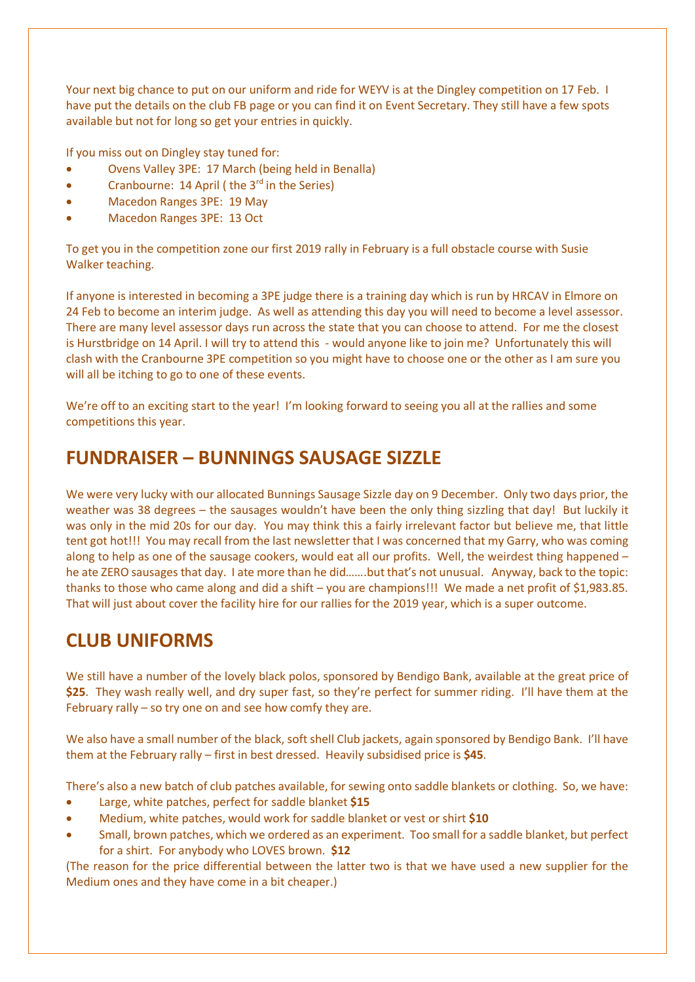Your next big chance to put on our uniform and ride for WEYV is at the Dingley competition on 17 Feb. I have put the details on the club FB page or you can find it on Event Secretary. They still have a few spots available but not for long so get your entries in quickly.

If you miss out on Dingley stay tuned for:

- Ovens Valley 3PE: 17 March (being held in Benalla)
- Cranbourne: 14 April ( the  $3<sup>rd</sup>$  in the Series)
- · Macedon Ranges 3PE: 19 May
- · Macedon Ranges 3PE: 13 Oct

To get you in the competition zone our first 2019 rally in February is a full obstacle course with Susie Walker teaching.

If anyone is interested in becoming a 3PE judge there is a training day which is run by HRCAV in Elmore on 24 Feb to become an interim judge. As well as attending this day you will need to become a level assessor. There are many level assessor days run across the state that you can choose to attend. For me the closest is Hurstbridge on 14 April. I will try to attend this - would anyone like to join me? Unfortunately this will clash with the Cranbourne 3PE competition so you might have to choose one or the other as I am sure you will all be itching to go to one of these events.

We're off to an exciting start to the year! I'm looking forward to seeing you all at the rallies and some competitions this year.

## **FUNDRAISER – BUNNINGS SAUSAGE SIZZLE**

We were very lucky with our allocated Bunnings Sausage Sizzle day on 9 December. Only two days prior, the weather was 38 degrees – the sausages wouldn't have been the only thing sizzling that day! But luckily it was only in the mid 20s for our day. You may think this a fairly irrelevant factor but believe me, that little tent got hot!!! You may recall from the last newsletter that I was concerned that my Garry, who was coming along to help as one of the sausage cookers, would eat all our profits. Well, the weirdest thing happened – he ate ZERO sausages that day. I ate more than he did.......but that's not unusual. Anyway, back to the topic: thanks to those who came along and did a shift – you are champions!!! We made a net profit of \$1,983.85. That will just about cover the facility hire for our rallies for the 2019 year, which is a super outcome.

## **CLUB UNIFORMS**

We still have a number of the lovely black polos, sponsored by Bendigo Bank, available at the great price of **\$25**. They wash really well, and dry super fast, so they're perfect for summer riding. I'll have them at the February rally – so try one on and see how comfy they are.

We also have a small number of the black, soft shell Club jackets, again sponsored by Bendigo Bank. I'll have them at the February rally – first in best dressed. Heavily subsidised price is **\$45**.

There's also a new batch of club patches available, for sewing onto saddle blankets or clothing. So, we have:

- Large, white patches, perfect for saddle blanket \$15
- · Medium, white patches, would work for saddle blanket or vest or shirt **\$10**
- · Small, brown patches, which we ordered as an experiment. Too small for a saddle blanket, but perfect for a shirt. For anybody who LOVES brown. **\$12**

(The reason for the price differential between the latter two is that we have used a new supplier for the Medium ones and they have come in a bit cheaper.)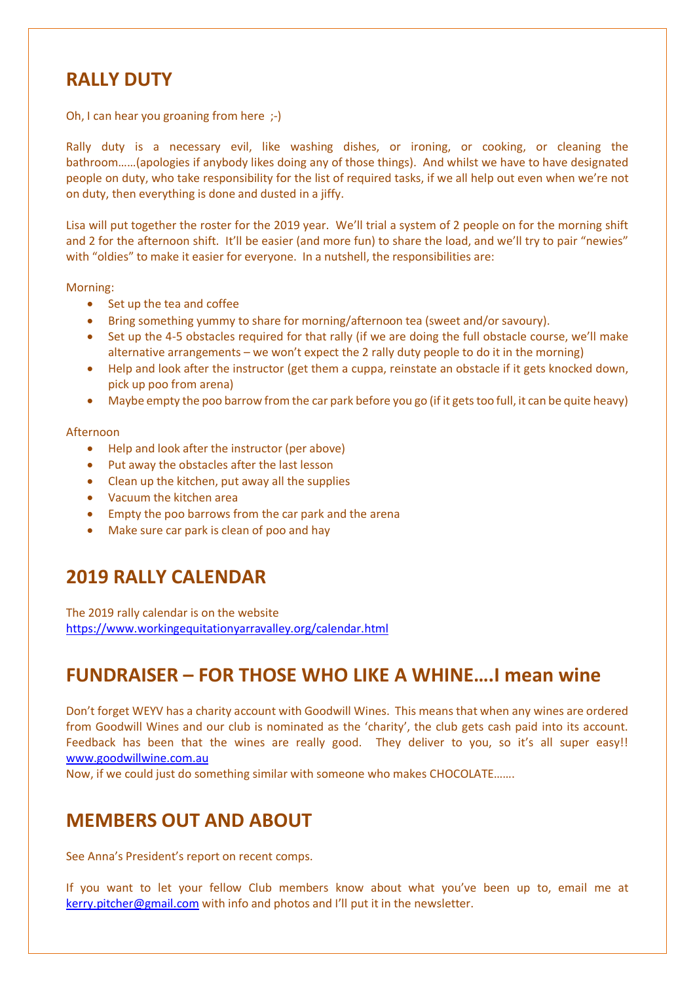### **RALLY DUTY**

Oh, I can hear you groaning from here ;-)

Rally duty is a necessary evil, like washing dishes, or ironing, or cooking, or cleaning the bathroom……(apologies if anybody likes doing any of those things). And whilst we have to have designated people on duty, who take responsibility for the list of required tasks, if we all help out even when we're not on duty, then everything is done and dusted in a jiffy.

Lisa will put together the roster for the 2019 year. We'll trial a system of 2 people on for the morning shift and 2 for the afternoon shift. It'll be easier (and more fun) to share the load, and we'll try to pair "newies" with "oldies" to make it easier for everyone. In a nutshell, the responsibilities are:

Morning:

- · Set up the tea and coffee
- · Bring something yummy to share for morning/afternoon tea (sweet and/or savoury).
- · Set up the 4-5 obstacles required for that rally (if we are doing the full obstacle course, we'll make alternative arrangements – we won't expect the 2 rally duty people to do it in the morning)
- · Help and look after the instructor (get them a cuppa, reinstate an obstacle if it gets knocked down, pick up poo from arena)
- · Maybe empty the poo barrow from the car park before you go (if it gets too full, it can be quite heavy)

#### Afternoon

- · Help and look after the instructor (per above)
- · Put away the obstacles after the last lesson
- · Clean up the kitchen, put away all the supplies
- · Vacuum the kitchen area
- · Empty the poo barrows from the car park and the arena
- · Make sure car park is clean of poo and hay

## **2019 RALLY CALENDAR**

The 2019 rally calendar is on the website <https://www.workingequitationyarravalley.org/calendar.html>

## **FUNDRAISER – FOR THOSE WHO LIKE A WHINE….I mean wine**

Don't forget WEYV has a charity account with Goodwill Wines. This means that when any wines are ordered from Goodwill Wines and our club is nominated as the 'charity', the club gets cash paid into its account. Feedback has been that the wines are really good. They deliver to you, so it's all super easy!! [www.goodwillwine.com.au](http://www.goodwillwine.com.au/)

Now, if we could just do something similar with someone who makes CHOCOLATE…….

## **MEMBERS OUT AND ABOUT**

See Anna's President's report on recent comps.

If you want to let your fellow Club members know about what you've been up to, email me at [kerry.pitcher@gmail.com](mailto:kerry.pitcher@gmail.com) with info and photos and I'll put it in the newsletter.